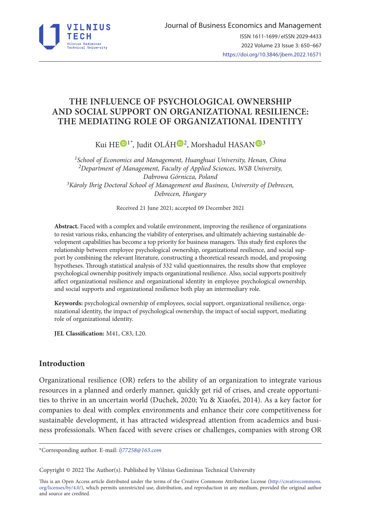

# **THE INFLUENCE OF PSYCHOLOGICAL OWNERSHIP AND SOCIAL SUPPORT ON ORGANIZATIONAL RESILIENCE: THE MEDIATING ROLE OF ORGANIZATIONAL IDENTITY**

Kui H[E](https://orcid.org/0000-0001-7949-9286)<sup>(D1\*</sup>, Judit OLÁH<sup>(D[2](https://orcid.org/0000-0003-2247-1711)</sup>, Morshadul HASAN<sup>(D[3](https://orcid.org/0000-0001-9857-9265)</sup>

*1School of Economics and Management, Huanghuai University, Henan, China 2Department of Management, Faculty of Applied Sciences, WSB University, Dabrowa Górnicza, Poland 3Károly Ihrig Doctoral School of Management and Business, University of Debrecen, Debrecen, Hungary* 

Received 21 June 2021; accepted 09 December 2021

**Abstract.** Faced with a complex and volatile environment, improving the resilience of organizations to resist various risks, enhancing the viability of enterprises, and ultimately achieving sustainable development capabilities has become a top priority for business managers. This study first explores the relationship between employee psychological ownership, organizational resilience, and social support by combining the relevant literature, constructing a theoretical research model, and proposing hypotheses. Through statistical analysis of 332 valid questionnaires, the results show that employee psychological ownership positively impacts organizational resilience. Also, social supports positively affect organizational resilience and organizational identity in employee psychological ownership, and social supports and organizational resilience both play an intermediary role.

**Keywords:** psychological ownership of employees, social support, organizational resilience, organizational identity, the impact of psychological ownership, the impact of social support, mediating role of organizational identity.

**JEL Classification:** M41, C83, L20.

# **Introduction**

Organizational resilience (OR) refers to the ability of an organization to integrate various resources in a planned and orderly manner, quickly get rid of crises, and create opportunities to thrive in an uncertain world (Duchek, 2020; Yu & Xiaofei, 2014). As a key factor for companies to deal with complex environments and enhance their core competitiveness for sustainable development, it has attracted widespread attention from academics and business professionals. When faced with severe crises or challenges, companies with strong OR

\*Corresponding author. E-mail: *[lj77258@163.com](mailto:lj77258@163.com)*

Copyright © 2022 The Author(s). Published by Vilnius Gediminas Technical University

This is an Open Access article distributed under the terms of the Creative Commons Attribution License ([http://creativecommons.](http://creativecommons.org/licenses/by/4.0/) [org/licenses/by/4.0/\)](http://creativecommons.org/licenses/by/4.0/), which permits unrestricted use, distribution, and reproduction in any medium, provided the original author and source are credited.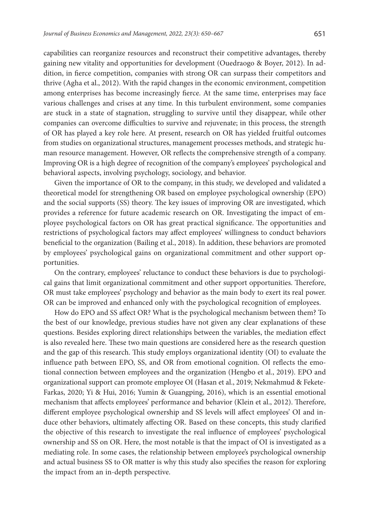capabilities can reorganize resources and reconstruct their competitive advantages, thereby gaining new vitality and opportunities for development (Ouedraogo & Boyer, 2012). In addition, in fierce competition, companies with strong OR can surpass their competitors and thrive (Agha et al., 2012). With the rapid changes in the economic environment, competition among enterprises has become increasingly fierce. At the same time, enterprises may face various challenges and crises at any time. In this turbulent environment, some companies are stuck in a state of stagnation, struggling to survive until they disappear, while other companies can overcome difficulties to survive and rejuvenate; in this process, the strength of OR has played a key role here. At present, research on OR has yielded fruitful outcomes from studies on organizational structures, management processes methods, and strategic human resource management. However, OR reflects the comprehensive strength of a company. Improving OR is a high degree of recognition of the company's employees' psychological and behavioral aspects, involving psychology, sociology, and behavior.

Given the importance of OR to the company, in this study, we developed and validated a theoretical model for strengthening OR based on employee psychological ownership (EPO) and the social supports (SS) theory. The key issues of improving OR are investigated, which provides a reference for future academic research on OR. Investigating the impact of employee psychological factors on OR has great practical significance. The opportunities and restrictions of psychological factors may affect employees' willingness to conduct behaviors beneficial to the organization (Bailing et al., 2018). In addition, these behaviors are promoted by employees' psychological gains on organizational commitment and other support opportunities.

On the contrary, employees' reluctance to conduct these behaviors is due to psychological gains that limit organizational commitment and other support opportunities. Therefore, OR must take employees' psychology and behavior as the main body to exert its real power. OR can be improved and enhanced only with the psychological recognition of employees.

How do EPO and SS affect OR? What is the psychological mechanism between them? To the best of our knowledge, previous studies have not given any clear explanations of these questions. Besides exploring direct relationships between the variables, the mediation effect is also revealed here. These two main questions are considered here as the research question and the gap of this research. This study employs organizational identity (OI) to evaluate the influence path between EPO, SS, and OR from emotional cognition. OI reflects the emotional connection between employees and the organization (Hengbo et al., 2019). EPO and organizational support can promote employee OI (Hasan et al., 2019; Nekmahmud & Fekete-Farkas, 2020; Yi & Hui, 2016; Yumin & Guangping, 2016), which is an essential emotional mechanism that affects employees' performance and behavior (Klein et al., 2012). Therefore, different employee psychological ownership and SS levels will affect employees' OI and induce other behaviors, ultimately affecting OR. Based on these concepts, this study clarified the objective of this research to investigate the real influence of employees' psychological ownership and SS on OR. Here, the most notable is that the impact of OI is investigated as a mediating role. In some cases, the relationship between employee's psychological ownership and actual business SS to OR matter is why this study also specifies the reason for exploring the impact from an in-depth perspective.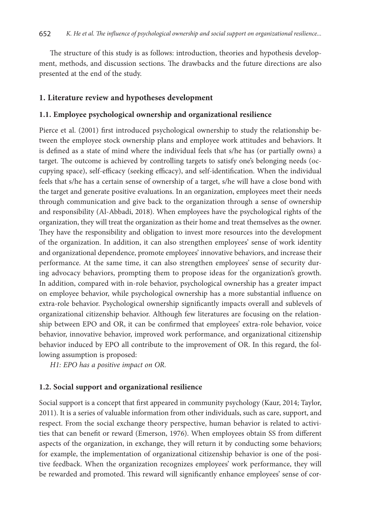The structure of this study is as follows: introduction, theories and hypothesis development, methods, and discussion sections. The drawbacks and the future directions are also presented at the end of the study.

#### **1. Literature review and hypotheses development**

#### **1.1. Employee psychological ownership and organizational resilience**

Pierce et al. (2001) first introduced psychological ownership to study the relationship between the employee stock ownership plans and employee work attitudes and behaviors. It is defined as a state of mind where the individual feels that s/he has (or partially owns) a target. The outcome is achieved by controlling targets to satisfy one's belonging needs (occupying space), self-efficacy (seeking efficacy), and self-identification. When the individual feels that s/he has a certain sense of ownership of a target, s/he will have a close bond with the target and generate positive evaluations. In an organization, employees meet their needs through communication and give back to the organization through a sense of ownership and responsibility (Al-Abbadi, 2018). When employees have the psychological rights of the organization, they will treat the organization as their home and treat themselves as the owner. They have the responsibility and obligation to invest more resources into the development of the organization. In addition, it can also strengthen employees' sense of work identity and organizational dependence, promote employees' innovative behaviors, and increase their performance. At the same time, it can also strengthen employees' sense of security during advocacy behaviors, prompting them to propose ideas for the organization's growth. In addition, compared with in-role behavior, psychological ownership has a greater impact on employee behavior, while psychological ownership has a more substantial influence on extra-role behavior. Psychological ownership significantly impacts overall and sublevels of organizational citizenship behavior. Although few literatures are focusing on the relationship between EPO and OR, it can be confirmed that employees' extra-role behavior, voice behavior, innovative behavior, improved work performance, and organizational citizenship behavior induced by EPO all contribute to the improvement of OR. In this regard, the following assumption is proposed:

*H1: EPO has a positive impact on OR.*

#### **1.2. Social support and organizational resilience**

Social support is a concept that first appeared in community psychology (Kaur, 2014; Taylor, 2011). It is a series of valuable information from other individuals, such as care, support, and respect. From the social exchange theory perspective, human behavior is related to activities that can benefit or reward (Emerson, 1976). When employees obtain SS from different aspects of the organization, in exchange, they will return it by conducting some behaviors; for example, the implementation of organizational citizenship behavior is one of the positive feedback. When the organization recognizes employees' work performance, they will be rewarded and promoted. This reward will significantly enhance employees' sense of cor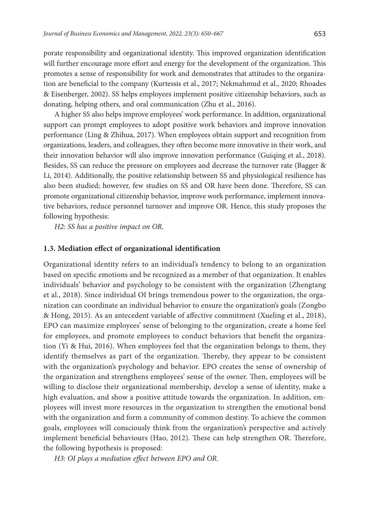porate responsibility and organizational identity. This improved organization identification will further encourage more effort and energy for the development of the organization. This promotes a sense of responsibility for work and demonstrates that attitudes to the organization are beneficial to the company (Kurtessis et al., 2017; Nekmahmud et al., 2020; Rhoades & Eisenberger, 2002). SS helps employees implement positive citizenship behaviors, such as donating, helping others, and oral communication (Zhu et al., 2016).

A higher SS also helps improve employees' work performance. In addition, organizational support can prompt employees to adopt positive work behaviors and improve innovation performance (Ling & Zhihua, 2017). When employees obtain support and recognition from organizations, leaders, and colleagues, they often become more innovative in their work, and their innovation behavior will also improve innovation performance (Guiqing et al., 2018). Besides, SS can reduce the pressure on employees and decrease the turnover rate (Bagger & Li, 2014). Additionally, the positive relationship between SS and physiological resilience has also been studied; however, few studies on SS and OR have been done. Therefore, SS can promote organizational citizenship behavior, improve work performance, implement innovative behaviors, reduce personnel turnover and improve OR. Hence, this study proposes the following hypothesis:

*H2: SS has a positive impact on OR.*

#### **1.3. Mediation effect of organizational identification**

Organizational identity refers to an individual's tendency to belong to an organization based on specific emotions and be recognized as a member of that organization. It enables individuals' behavior and psychology to be consistent with the organization (Zhengtang et al., 2018). Since individual OI brings tremendous power to the organization, the organization can coordinate an individual behavior to ensure the organization's goals (Zongbo & Hong, 2015). As an antecedent variable of affective commitment (Xueling et al., 2018), EPO can maximize employees' sense of belonging to the organization, create a home feel for employees, and promote employees to conduct behaviors that benefit the organization (Yi & Hui, 2016). When employees feel that the organization belongs to them, they identify themselves as part of the organization. Thereby, they appear to be consistent with the organization's psychology and behavior. EPO creates the sense of ownership of the organization and strengthens employees' sense of the owner. Then, employees will be willing to disclose their organizational membership, develop a sense of identity, make a high evaluation, and show a positive attitude towards the organization. In addition, employees will invest more resources in the organization to strengthen the emotional bond with the organization and form a community of common destiny. To achieve the common goals, employees will consciously think from the organization's perspective and actively implement beneficial behaviours (Hao, 2012). These can help strengthen OR. Therefore, the following hypothesis is proposed:

*H3: OI plays a mediation effect between EPO and OR.*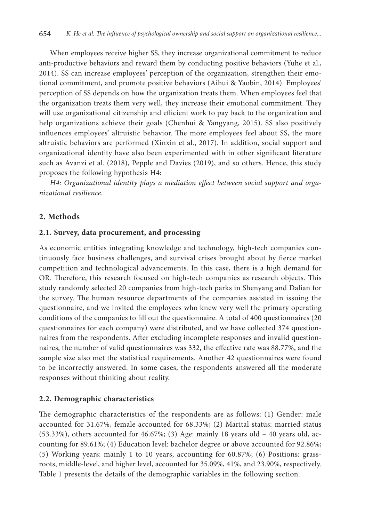When employees receive higher SS, they increase organizational commitment to reduce anti-productive behaviors and reward them by conducting positive behaviors (Yuhe et al., 2014). SS can increase employees' perception of the organization, strengthen their emotional commitment, and promote positive behaviors (Aihui & Yaobin, 2014). Employees' perception of SS depends on how the organization treats them. When employees feel that the organization treats them very well, they increase their emotional commitment. They will use organizational citizenship and efficient work to pay back to the organization and help organizations achieve their goals (Chenhui & Yangyang, 2015). SS also positively influences employees' altruistic behavior. The more employees feel about SS, the more altruistic behaviors are performed (Xinxin et al., 2017). In addition, social support and organizational identity have also been experimented with in other significant literature such as Avanzi et al. (2018), Pepple and Davies (2019), and so others. Hence, this study proposes the following hypothesis H4:

*H4: Organizational identity plays a mediation effect between social support and organizational resilience.*

#### **2. Methods**

#### **2.1. Survey, data procurement, and processing**

As economic entities integrating knowledge and technology, high-tech companies continuously face business challenges, and survival crises brought about by fierce market competition and technological advancements. In this case, there is a high demand for OR. Therefore, this research focused on high-tech companies as research objects. This study randomly selected 20 companies from high-tech parks in Shenyang and Dalian for the survey. The human resource departments of the companies assisted in issuing the questionnaire, and we invited the employees who knew very well the primary operating conditions of the companies to fill out the questionnaire. A total of 400 questionnaires (20 questionnaires for each company) were distributed, and we have collected 374 questionnaires from the respondents. After excluding incomplete responses and invalid questionnaires, the number of valid questionnaires was 332, the effective rate was 88.77%, and the sample size also met the statistical requirements. Another 42 questionnaires were found to be incorrectly answered. In some cases, the respondents answered all the moderate responses without thinking about reality.

#### **2.2. Demographic characteristics**

The demographic characteristics of the respondents are as follows: (1) Gender: male accounted for 31.67%, female accounted for 68.33%; (2) Marital status: married status (53.33%), others accounted for 46.67%; (3) Age: mainly 18 years old – 40 years old, accounting for 89.61%; (4) Education level: bachelor degree or above accounted for 92.86%; (5) Working years: mainly 1 to 10 years, accounting for 60.87%; (6) Positions: grassroots, middle-level, and higher level, accounted for 35.09%, 41%, and 23.90%, respectively. Table 1 presents the details of the demographic variables in the following section.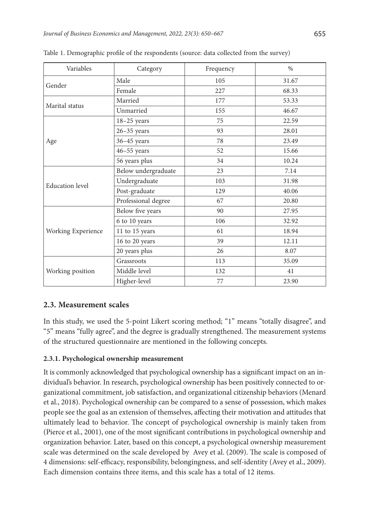| Variables              | Category            | Frequency | $\%$  |
|------------------------|---------------------|-----------|-------|
| Gender                 | Male                | 105       | 31.67 |
|                        | Female              | 227       | 68.33 |
| Marital status         | Married             | 177       | 53.33 |
|                        | Unmarried           | 155       | 46.67 |
|                        | $18-25$ years       | 75        | 22.59 |
|                        | $26 - 35$ years     | 93        | 28.01 |
| Age                    | $36 - 45$ years     | 78        | 23.49 |
|                        | $46 - 55$ years     | 52        | 15.66 |
|                        | 56 years plus       | 34        | 10.24 |
| <b>Education</b> level | Below undergraduate | 23        | 7.14  |
|                        | Undergraduate       | 103       | 31.98 |
|                        | Post-graduate       | 129       | 40.06 |
|                        | Professional degree | 67        | 20.80 |
|                        | Below five years    | 90        | 27.95 |
|                        | 6 to 10 years       | 106       | 32.92 |
| Working Experience     | 11 to 15 years      | 61        | 18.94 |
|                        | 16 to 20 years      | 39        | 12.11 |
|                        | 20 years plus       | 26        | 8.07  |
| Working position       | Grassroots          | 113       | 35.09 |
|                        | Middle level        | 132       | 41    |
|                        | Higher-level        | 77        | 23.90 |

Table 1. Demographic profile of the respondents (source: data collected from the survey)

# **2.3. Measurement scales**

In this study, we used the 5-point Likert scoring method; "1" means "totally disagree", and "5" means "fully agree", and the degree is gradually strengthened. The measurement systems of the structured questionnaire are mentioned in the following concepts.

# **2.3.1. Psychological ownership measurement**

It is commonly acknowledged that psychological ownership has a significant impact on an individual's behavior. In research, psychological ownership has been positively connected to organizational commitment, job satisfaction, and organizational citizenship behaviors (Menard et al., 2018). Psychological ownership can be compared to a sense of possession, which makes people see the goal as an extension of themselves, affecting their motivation and attitudes that ultimately lead to behavior. The concept of psychological ownership is mainly taken from (Pierce et al., 2001), one of the most significant contributions in psychological ownership and organization behavior. Later, based on this concept, a psychological ownership measurement scale was determined on the scale developed by Avey et al. (2009). The scale is composed of 4 dimensions: self-efficacy, responsibility, belongingness, and self-identity (Avey et al., 2009). Each dimension contains three items, and this scale has a total of 12 items.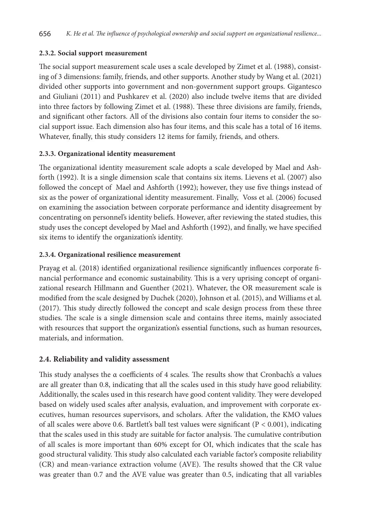## **2.3.2. Social support measurement**

The social support measurement scale uses a scale developed by Zimet et al. (1988), consisting of 3 dimensions: family, friends, and other supports. Another study by Wang et al. (2021) divided other supports into government and non-government support groups. Gigantesco and Giuliani (2011) and Pushkarev et al. (2020) also include twelve items that are divided into three factors by following Zimet et al. (1988). These three divisions are family, friends, and significant other factors. All of the divisions also contain four items to consider the social support issue. Each dimension also has four items, and this scale has a total of 16 items. Whatever, finally, this study considers 12 items for family, friends, and others.

# **2.3.3. Organizational identity measurement**

The organizational identity measurement scale adopts a scale developed by Mael and Ashforth (1992). It is a single dimension scale that contains six items. Lievens et al. (2007) also followed the concept of Mael and Ashforth (1992); however, they use five things instead of six as the power of organizational identity measurement. Finally, Voss et al. (2006) focused on examining the association between corporate performance and identity disagreement by concentrating on personnel's identity beliefs. However, after reviewing the stated studies, this study uses the concept developed by Mael and Ashforth (1992), and finally, we have specified six items to identify the organization's identity.

## **2.3.4. Organizational resilience measurement**

Prayag et al. (2018) identified organizational resilience significantly influences corporate financial performance and economic sustainability. This is a very uprising concept of organizational research Hillmann and Guenther (2021). Whatever, the OR measurement scale is modified from the scale designed by Duchek (2020), Johnson et al. (2015), and Williams et al. (2017). This study directly followed the concept and scale design process from these three studies. The scale is a single dimension scale and contains three items, mainly associated with resources that support the organization's essential functions, such as human resources, materials, and information.

# **2.4. Reliability and validity assessment**

This study analyses the α coefficients of 4 scales. The results show that Cronbach's α values are all greater than 0.8, indicating that all the scales used in this study have good reliability. Additionally, the scales used in this research have good content validity. They were developed based on widely used scales after analysis, evaluation, and improvement with corporate executives, human resources supervisors, and scholars. After the validation, the KMO values of all scales were above 0.6. Bartlett's ball test values were significant ( $P < 0.001$ ), indicating that the scales used in this study are suitable for factor analysis. The cumulative contribution of all scales is more important than 60% except for OI, which indicates that the scale has good structural validity. This study also calculated each variable factor's composite reliability (CR) and mean-variance extraction volume (AVE). The results showed that the CR value was greater than 0.7 and the AVE value was greater than 0.5, indicating that all variables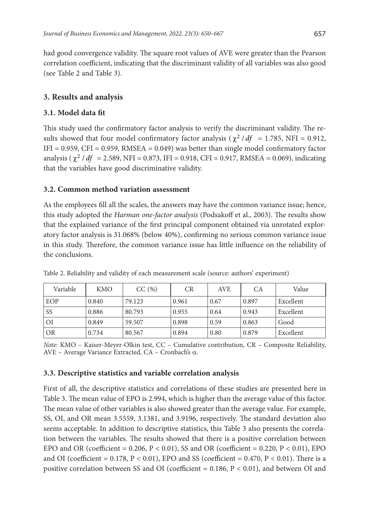had good convergence validity. The square root values of AVE were greater than the Pearson correlation coefficient, indicating that the discriminant validity of all variables was also good (see Table 2 and Table 3).

## **3. Results and analysis**

## **3.1. Model data fit**

This study used the confirmatory factor analysis to verify the discriminant validity. The results showed that four model confirmatory factor analysis ( $\chi^2$  /df = 1.785, NFI = 0.912, IFI =  $0.959$ , CFI =  $0.959$ , RMSEA =  $0.049$ ) was better than single model confirmatory factor analysis ( $\chi^2$  / *df* = 2.589, NFI = 0.873, IFI = 0.918, CFI = 0.917, RMSEA = 0.069), indicating that the variables have good discriminative validity.

## **3.2. Common method variation assessment**

As the employees fill all the scales, the answers may have the common variance issue; hence, this study adopted the *Harman one-factor analysis* (Podsakoff et al., 2003). The results show that the explained variance of the first principal component obtained via unrotated exploratory factor analysis is 31.068% (below 40%), confirming no serious common variance issue in this study. Therefore, the common variance issue has little influence on the reliability of the conclusions.

| Variable  | <b>KMO</b> | CC(%)  | CR    | <b>AVE</b> | CA    | Value     |
|-----------|------------|--------|-------|------------|-------|-----------|
| EOP       | 0.840      | 79.123 | 0.961 | 0.67       | 0.897 | Excellent |
| <b>SS</b> | 0.886      | 80.793 | 0.955 | 0.64       | 0.943 | Excellent |
| ΟI        | 0.849      | 59.507 | 0.898 | 0.59       | 0.863 | Good      |
| OR        | 0.734      | 80.567 | 0.894 | 0.80       | 0.879 | Excellent |

Table 2. Reliability and validity of each measurement scale (source: authors' experiment)

*Note*: KMO – Kaiser-Meyer-Olkin test, CC – Cumulative contribution, CR – Composite Reliability, AVE – Average Variance Extracted, CA – Cronbach's α.

## **3.3. Descriptive statistics and variable correlation analysis**

First of all, the descriptive statistics and correlations of these studies are presented here in Table 3. The mean value of EPO is 2.994, which is higher than the average value of this factor. The mean value of other variables is also showed greater than the average value. For example, SS, OI, and OR mean 3.5559, 3.1381, and 3.9196, respectively. The standard deviation also seems acceptable. In addition to descriptive statistics, this Table 3 also presents the correlation between the variables. The results showed that there is a positive correlation between EPO and OR (coefficient =  $0.206$ ,  $P < 0.01$ ), SS and OR (coefficient =  $0.220$ ,  $P < 0.01$ ), EPO and OI (coefficient =  $0.178$ , P <  $0.01$ ), EPO and SS (coefficient =  $0.470$ , P <  $0.01$ ). There is a positive correlation between SS and OI (coefficient =  $0.186$ ,  $P < 0.01$ ), and between OI and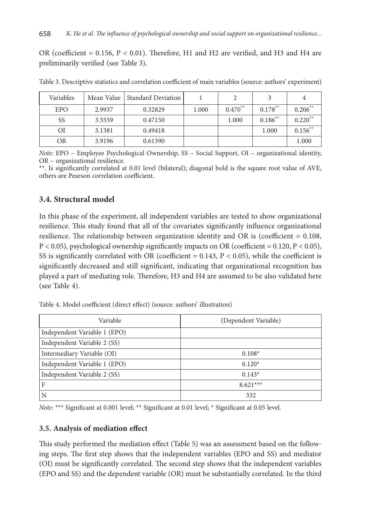OR (coefficient = 0.156, P < 0.01). Therefore, H1 and H2 are verified, and H3 and H4 are preliminarily verified (see Table 3).

| Variables  | Mean Value | Standard Deviation |       | 2         |            | 4                     |
|------------|------------|--------------------|-------|-----------|------------|-----------------------|
| <b>EPO</b> | 2.9937     | 0.32829            | 1.000 | $0.470**$ | $0.178***$ | $0.206***$            |
| SS         | 3.5559     | 0.47150            |       | 1.000     | $0.186$ ** | $0.220$ <sup>**</sup> |
| ΟI         | 3.1381     | 0.49418            |       |           | 1.000      | $0.156***$            |
| OR         | 3.9196     | 0.61390            |       |           |            | 1.000                 |

Table 3. Descriptive statistics and correlation coefficient of main variables (source: authors' experiment)

*Note*: EPO – Employee Psychological Ownership, SS – Social Support, OI – organizational identity, OR – organizational resilience.

\*\*. Is significantly correlated at 0.01 level (bilateral); diagonal bold is the square root value of AVE, others are Pearson correlation coefficient.

# **3.4. Structural model**

In this phase of the experiment, all independent variables are tested to show organizational resilience. This study found that all of the covariates significantly influence organizational resilience. The relationship between organization identity and OR is (coefficient = 0.108,  $P < 0.05$ ), psychological ownership significantly impacts on OR (coefficient = 0.120,  $P < 0.05$ ), SS is significantly correlated with OR (coefficient =  $0.143$ ,  $P < 0.05$ ), while the coefficient is significantly decreased and still significant, indicating that organizational recognition has played a part of mediating role. Therefore, H3 and H4 are assumed to be also validated here (see Table 4).

Table 4. Model coefficient (direct effect) (source: authors' illustration)

| Variable                     | (Dependent Variable) |
|------------------------------|----------------------|
| Independent Variable 1 (EPO) |                      |
| Independent Variable 2 (SS)  |                      |
| Intermediary Variable (OI)   | $0.108*$             |
| Independent Variable 1 (EPO) | $0.120*$             |
| Independent Variable 2 (SS)  | $0.143*$             |
| F                            | $8.621***$           |
| N                            | 332                  |

*Note*: \*\*\* Significant at 0.001 level; \*\* Significant at 0.01 level; \* Significant at 0.05 level.

## **3.5. Analysis of mediation effect**

This study performed the mediation effect (Table 5) was an assessment based on the following steps. The first step shows that the independent variables (EPO and SS) and mediator (OI) must be significantly correlated. The second step shows that the independent variables (EPO and SS) and the dependent variable (OR) must be substantially correlated. In the third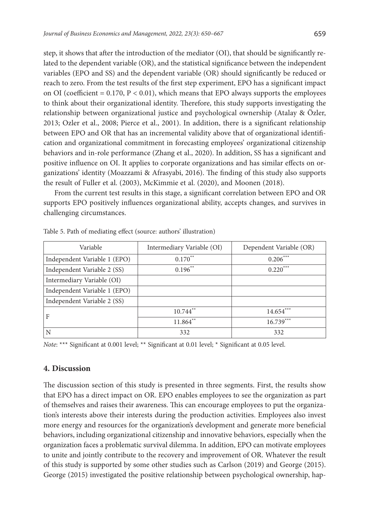step, it shows that after the introduction of the mediator (OI), that should be significantly related to the dependent variable (OR), and the statistical significance between the independent variables (EPO and SS) and the dependent variable (OR) should significantly be reduced or reach to zero. From the test results of the first step experiment, EPO has a significant impact on OI (coefficient =  $0.170$ , P <  $0.01$ ), which means that EPO always supports the employees to think about their organizational identity. Therefore, this study supports investigating the relationship between organizational justice and psychological ownership (Atalay & Özler, 2013; Ozler et al., 2008; Pierce et al., 2001). In addition, there is a significant relationship between EPO and OR that has an incremental validity above that of organizational identification and organizational commitment in forecasting employees' organizational citizenship behaviors and in-role performance (Zhang et al., 2020). In addition, SS has a significant and positive influence on OI. It applies to corporate organizations and has similar effects on organizations' identity (Moazzami & Afrasyabi, 2016). The finding of this study also supports the result of Fuller et al. (2003), McKimmie et al. (2020), and Moonen (2018).

From the current test results in this stage, a significant correlation between EPO and OR supports EPO positively influences organizational ability, accepts changes, and survives in challenging circumstances.

| Variable                     | Intermediary Variable (OI) | Dependent Variable (OR) |
|------------------------------|----------------------------|-------------------------|
| Independent Variable 1 (EPO) | $0.170**$                  | $0.206***$              |
| Independent Variable 2 (SS)  | $0.196**$                  | $0.220***$              |
| Intermediary Variable (OI)   |                            |                         |
| Independent Variable 1 (EPO) |                            |                         |
| Independent Variable 2 (SS)  |                            |                         |
| F                            | $10.744$ <sup>**</sup>     | $14.654***$             |
|                              | $11.864**$                 | $16.739***$             |
| N                            | 332                        | 332                     |

Table 5. Path of mediating effect (source: authors' illustration)

*Note*: \*\*\* Significant at 0.001 level; \*\* Significant at 0.01 level; \* Significant at 0.05 level.

#### **4. Discussion**

The discussion section of this study is presented in three segments. First, the results show that EPO has a direct impact on OR. EPO enables employees to see the organization as part of themselves and raises their awareness. This can encourage employees to put the organization's interests above their interests during the production activities. Employees also invest more energy and resources for the organization's development and generate more beneficial behaviors, including organizational citizenship and innovative behaviors, especially when the organization faces a problematic survival dilemma. In addition, EPO can motivate employees to unite and jointly contribute to the recovery and improvement of OR. Whatever the result of this study is supported by some other studies such as Carlson (2019) and George (2015). George (2015) investigated the positive relationship between psychological ownership, hap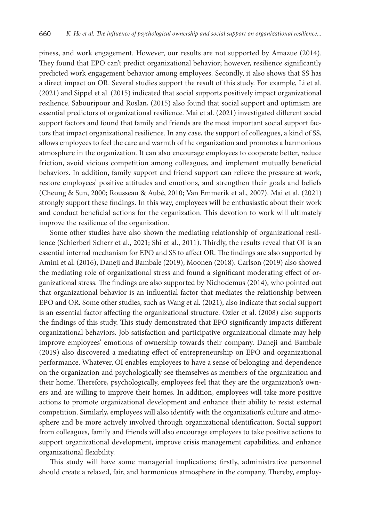piness, and work engagement. However, our results are not supported by Amazue (2014). They found that EPO can't predict organizational behavior; however, resilience significantly predicted work engagement behavior among employees. Secondly, it also shows that SS has a direct impact on OR. Several studies support the result of this study. For example, Li et al. (2021) and Sippel et al. (2015) indicated that social supports positively impact organizational resilience. Sabouripour and Roslan, (2015) also found that social support and optimism are essential predictors of organizational resilience. Mai et al. (2021) investigated different social support factors and found that family and friends are the most important social support factors that impact organizational resilience. In any case, the support of colleagues, a kind of SS, allows employees to feel the care and warmth of the organization and promotes a harmonious atmosphere in the organization. It can also encourage employees to cooperate better, reduce friction, avoid vicious competition among colleagues, and implement mutually beneficial behaviors. In addition, family support and friend support can relieve the pressure at work, restore employees' positive attitudes and emotions, and strengthen their goals and beliefs (Cheung & Sun, 2000; Rousseau & Aubé, 2010; Van Emmerik et al., 2007). Mai et al. (2021) strongly support these findings. In this way, employees will be enthusiastic about their work and conduct beneficial actions for the organization. This devotion to work will ultimately improve the resilience of the organization.

Some other studies have also shown the mediating relationship of organizational resilience (Schierberl Scherr et al., 2021; Shi et al., 2011). Thirdly, the results reveal that OI is an essential internal mechanism for EPO and SS to affect OR. The findings are also supported by Amini et al. (2016), Daneji and Bambale (2019), Moonen (2018). Carlson (2019) also showed the mediating role of organizational stress and found a significant moderating effect of organizational stress. The findings are also supported by Nichodemus (2014), who pointed out that organizational behavior is an influential factor that mediates the relationship between EPO and OR. Some other studies, such as Wang et al. (2021), also indicate that social support is an essential factor affecting the organizational structure. Ozler et al. (2008) also supports the findings of this study. This study demonstrated that EPO significantly impacts different organizational behaviors. Job satisfaction and participative organizational climate may help improve employees' emotions of ownership towards their company. Daneji and Bambale (2019) also discovered a mediating effect of entrepreneurship on EPO and organizational performance. Whatever, OI enables employees to have a sense of belonging and dependence on the organization and psychologically see themselves as members of the organization and their home. Therefore, psychologically, employees feel that they are the organization's owners and are willing to improve their homes. In addition, employees will take more positive actions to promote organizational development and enhance their ability to resist external competition. Similarly, employees will also identify with the organization's culture and atmosphere and be more actively involved through organizational identification. Social support from colleagues, family and friends will also encourage employees to take positive actions to support organizational development, improve crisis management capabilities, and enhance organizational flexibility.

This study will have some managerial implications; firstly, administrative personnel should create a relaxed, fair, and harmonious atmosphere in the company. Thereby, employ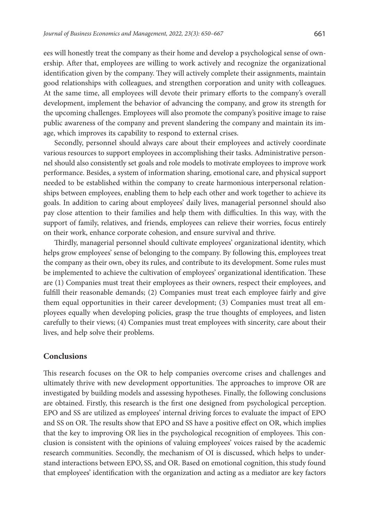ees will honestly treat the company as their home and develop a psychological sense of ownership. After that, employees are willing to work actively and recognize the organizational identification given by the company. They will actively complete their assignments, maintain good relationships with colleagues, and strengthen corporation and unity with colleagues. At the same time, all employees will devote their primary efforts to the company's overall development, implement the behavior of advancing the company, and grow its strength for the upcoming challenges. Employees will also promote the company's positive image to raise public awareness of the company and prevent slandering the company and maintain its image, which improves its capability to respond to external crises.

Secondly, personnel should always care about their employees and actively coordinate various resources to support employees in accomplishing their tasks. Administrative personnel should also consistently set goals and role models to motivate employees to improve work performance. Besides, a system of information sharing, emotional care, and physical support needed to be established within the company to create harmonious interpersonal relationships between employees, enabling them to help each other and work together to achieve its goals. In addition to caring about employees' daily lives, managerial personnel should also pay close attention to their families and help them with difficulties. In this way, with the support of family, relatives, and friends, employees can relieve their worries, focus entirely on their work, enhance corporate cohesion, and ensure survival and thrive.

Thirdly, managerial personnel should cultivate employees' organizational identity, which helps grow employees' sense of belonging to the company. By following this, employees treat the company as their own, obey its rules, and contribute to its development. Some rules must be implemented to achieve the cultivation of employees' organizational identification. These are (1) Companies must treat their employees as their owners, respect their employees, and fulfill their reasonable demands; (2) Companies must treat each employee fairly and give them equal opportunities in their career development; (3) Companies must treat all employees equally when developing policies, grasp the true thoughts of employees, and listen carefully to their views; (4) Companies must treat employees with sincerity, care about their lives, and help solve their problems.

#### **Conclusions**

This research focuses on the OR to help companies overcome crises and challenges and ultimately thrive with new development opportunities. The approaches to improve OR are investigated by building models and assessing hypotheses. Finally, the following conclusions are obtained. Firstly, this research is the first one designed from psychological perception. EPO and SS are utilized as employees' internal driving forces to evaluate the impact of EPO and SS on OR. The results show that EPO and SS have a positive effect on OR, which implies that the key to improving OR lies in the psychological recognition of employees. This conclusion is consistent with the opinions of valuing employees' voices raised by the academic research communities. Secondly, the mechanism of OI is discussed, which helps to understand interactions between EPO, SS, and OR. Based on emotional cognition, this study found that employees' identification with the organization and acting as a mediator are key factors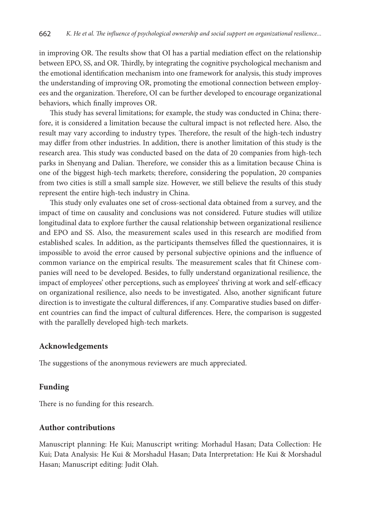in improving OR. The results show that OI has a partial mediation effect on the relationship between EPO, SS, and OR. Thirdly, by integrating the cognitive psychological mechanism and the emotional identification mechanism into one framework for analysis, this study improves the understanding of improving OR, promoting the emotional connection between employees and the organization. Therefore, OI can be further developed to encourage organizational behaviors, which finally improves OR.

This study has several limitations; for example, the study was conducted in China; therefore, it is considered a limitation because the cultural impact is not reflected here. Also, the result may vary according to industry types. Therefore, the result of the high-tech industry may differ from other industries. In addition, there is another limitation of this study is the research area. This study was conducted based on the data of 20 companies from high-tech parks in Shenyang and Dalian. Therefore, we consider this as a limitation because China is one of the biggest high-tech markets; therefore, considering the population, 20 companies from two cities is still a small sample size. However, we still believe the results of this study represent the entire high-tech industry in China.

This study only evaluates one set of cross-sectional data obtained from a survey, and the impact of time on causality and conclusions was not considered. Future studies will utilize longitudinal data to explore further the causal relationship between organizational resilience and EPO and SS. Also, the measurement scales used in this research are modified from established scales. In addition, as the participants themselves filled the questionnaires, it is impossible to avoid the error caused by personal subjective opinions and the influence of common variance on the empirical results. The measurement scales that fit Chinese companies will need to be developed. Besides, to fully understand organizational resilience, the impact of employees' other perceptions, such as employees' thriving at work and self-efficacy on organizational resilience, also needs to be investigated. Also, another significant future direction is to investigate the cultural differences, if any. Comparative studies based on different countries can find the impact of cultural differences. Here, the comparison is suggested with the parallelly developed high-tech markets.

## **Acknowledgements**

The suggestions of the anonymous reviewers are much appreciated.

## **Funding**

There is no funding for this research.

## **Author contributions**

Manuscript planning: He Kui; Manuscript writing: Morhadul Hasan; Data Collection: He Kui; Data Analysis: He Kui & Morshadul Hasan; Data Interpretation: He Kui & Morshadul Hasan; Manuscript editing: Judit Olah.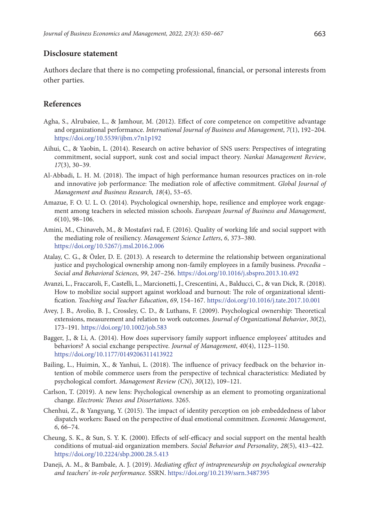## **Disclosure statement**

Authors declare that there is no competing professional, financial, or personal interests from other parties.

## **References**

- Agha, S., Alrubaiee, L., & Jamhour, M. (2012). Effect of core competence on competitive advantage and organizational performance. *International Journal of Business and Management*, *7*(1), 192–204. https://doi.org/10.5539/ijbm.v7n1p192
- Aihui, C., & Yaobin, L. (2014). Research on active behavior of SNS users: Perspectives of integrating commitment, social support, sunk cost and social impact theory. *Nankai Management Review*, *17*(3), 30–39.
- Al-Abbadi, L. H. M. (2018). The impact of high performance human resources practices on in-role and innovative job performance: The mediation role of affective commitment. *Global Journal of Management and Business Research, 18*(4), 53–65.
- Amazue, F. O. U. L. O. (2014). Psychological ownership, hope, resilience and employee work engagement among teachers in selected mission schools. *European Journal of Business and Management*, *6*(10), 98–106.
- Amini, M., Chinaveh, M., & Mostafavi rad, F. (2016). Quality of working life and social support with the mediating role of resiliency. *Management Science Letters*, *6*, 373–380. https://doi.org/10.5267/j.msl.2016.2.006
- Atalay, C. G., & Özler, D. E. (2013). A research to determine the relationship between organizational justice and psychological ownership among non-family employees in a family business. *Procedia – Social and Behavioral Sciences*, *99*, 247–256. https://doi.org/10.1016/j.sbspro.2013.10.492
- Avanzi, L., Fraccaroli, F., Castelli, L., Marcionetti, J., Crescentini, A., Balducci, C., & van Dick, R. (2018). How to mobilize social support against workload and burnout: The role of organizational identification. *Teaching and Teacher Education*, *69*, 154–167. https://doi.org/10.1016/j.tate.2017.10.001
- Avey, J. B., Avolio, B. J., Crossley, C. D., & Luthans, F. (2009). Psychological ownership: Theoretical extensions, measurement and relation to work outcomes. *Journal of Organizational Behavior*, *30*(2), 173–191. https://doi.org/10.1002/job.583
- Bagger, J., & Li, A. (2014). How does supervisory family support influence employees' attitudes and behaviors? A social exchange perspective. *Journal of Management*, *40*(4), 1123–1150. https://doi.org/10.1177/0149206311413922
- Bailing, L., Huimin, X., & Yanhui, L. (2018). The influence of privacy feedback on the behavior intention of mobile commerce users from the perspective of technical characteristics: Mediated by psychological comfort. *Management Review (CN)*, *30*(12), 109–121.
- Carlson, T. (2019). A new lens: Psychological ownership as an element to promoting organizational change. *Electronic Theses and Dissertations*. 3265.
- Chenhui, Z., & Yangyang, Y. (2015). The impact of identity perception on job embeddedness of labor dispatch workers: Based on the perspective of dual emotional commitmen. *Economic Management*, *6*, 66–74.
- Cheung, S. K., & Sun, S. Y. K. (2000). Effects of self-efficacy and social support on the mental health conditions of mutual-aid organization members. *Social Behavior and Personality*, *28*(5), 413–422. https://doi.org/10.2224/sbp.2000.28.5.413
- Daneji, A. M., & Bambale, A. J. (2019). *Mediating effect of intrapreneurship on psychological ownership and teachers' in-role performance.* SSRN. https://doi.org/10.2139/ssrn.3487395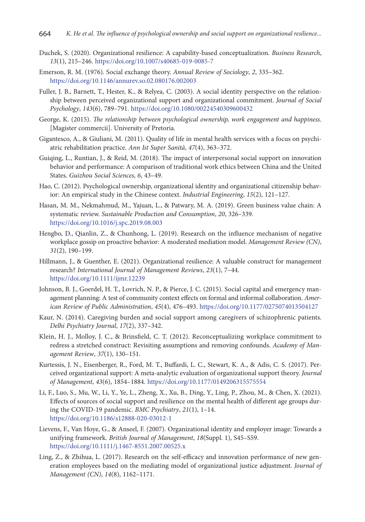- Duchek, S. (2020). Organizational resilience: A capability-based conceptualization. *Business Research*, *13*(1), 215–246. https://doi.org/10.1007/s40685-019-0085-7
- Emerson, R. M. (1976). Social exchange theory. *Annual Review of Sociology*, *2*, 335–362. https://doi.org/10.1146/annurev.so.02.080176.002003
- Fuller, J. B., Barnett, T., Hester, K., & Relyea, C. (2003). A social identity perspective on the relationship between perceived organizational support and organizational commitment. *Journal of Social Psychology*, *143*(6), 789–791. https://doi.org/10.1080/00224540309600432
- George, K. (2015). *The relationship between psychological ownership, work engagement and happiness*. [Magister commercii]. University of Pretoria*.*
- Gigantesco, A., & Giuliani, M. (2011). Quality of life in mental health services with a focus on psychiatric rehabilitation practice. *Ann Ist Super Sanità*, *47*(4), 363–372.
- Guiqing, L., Runtian, J., & Reid, M. (2018). The impact of interpersonal social support on innovation behavior and performance: A comparison of traditional work ethics between China and the United States. *Guizhou Social Sciences*, *6*, 43–49.
- Hao, C. (2012). Psychological ownership, organizational identity and organizational citizenship behavior: An empirical study in the Chinese context. *Industrial Engineering*, *15*(2), 121–127.
- Hasan, M. M., Nekmahmud, M., Yajuan, L., & Patwary, M. A. (2019). Green business value chain: A systematic review. *Sustainable Production and Consumption*, *20*, 326–339. https://doi.org/10.1016/j.spc.2019.08.003
- Hengbo, D., Qianlin, Z., & Chunhong, L. (2019). Research on the influence mechanism of negative workplace gossip on proactive behavior: A moderated mediation model. *Management Review (CN)*, *31*(2), 190–199.
- Hillmann, J., & Guenther, E. (2021). Organizational resilience: A valuable construct for management research? *International Journal of Management Reviews*, *23*(1), 7–44. https://doi.org/10.1111/ijmr.12239
- Johnson, B. J., Goerdel, H. T., Lovrich, N. P., & Pierce, J. C. (2015). Social capital and emergency management planning: A test of community context effects on formal and informal collaboration. *American Review of Public Administration*, *45*(4), 476–493. https://doi.org/10.1177/0275074013504127
- Kaur, N. (2014). Caregiving burden and social support among caregivers of schizophrenic patients. *Delhi Psychiatry Journal*, *17*(2), 337–342.
- Klein, H. J., Molloy, J. C., & Brinsfield, C. T. (2012). Reconceptualizing workplace commitment to redress a stretched construct: Revisiting assumptions and removing confounds. *Academy of Management Review*, *37*(1), 130–151.
- Kurtessis, J. N., Eisenberger, R., Ford, M. T., Buffardi, L. C., Stewart, K. A., & Adis, C. S. (2017). Perceived organizational support: A meta-analytic evaluation of organizational support theory. *Journal of Management*, *43*(6), 1854–1884. https://doi.org/10.1177/0149206315575554
- Li, F., Luo, S., Mu, W., Li, Y., Ye, L., Zheng, X., Xu, B., Ding, Y., Ling, P., Zhou, M., & Chen, X. (2021). Effects of sources of social support and resilience on the mental health of different age groups during the COVID-19 pandemic. *BMC Psychiatry*, *21*(1), 1–14. https://doi.org/10.1186/s12888-020-03012-1
- Lievens, F., Van Hoye, G., & Anseel, F. (2007). Organizational identity and employer image: Towards a unifying framework. *British Journal of Management*, *18*(Suppl. 1), S45–S59. https://doi.org/10.1111/j.1467-8551.2007.00525.x
- Ling, Z., & Zhihua, L. (2017). Research on the self-efficacy and innovation performance of new generation employees based on the mediating model of organizational justice adjustment. *Journal of Management (CN)*, *14*(8), 1162–1171.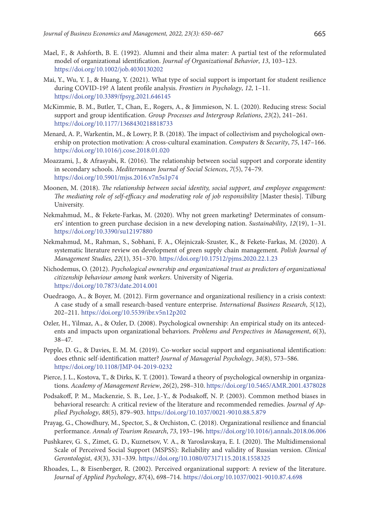- Mael, F., & Ashforth, B. E. (1992). Alumni and their alma mater: A partial test of the reformulated model of organizational identification. *Journal of Organizational Behavior*, *13*, 103–123. https://doi.org/10.1002/job.4030130202
- Mai, Y., Wu, Y. J., & Huang, Y. (2021). What type of social support is important for student resilience during COVID-19? A latent profile analysis. *Frontiers in Psychology*, *12*, 1–11. https://doi.org/10.3389/fpsyg.2021.646145
- McKimmie, B. M., Butler, T., Chan, E., Rogers, A., & Jimmieson, N. L. (2020). Reducing stress: Social support and group identification. *Group Processes and Intergroup Relations*, *23*(2), 241–261. https://doi.org/10.1177/1368430218818733
- Menard, A. P., Warkentin, M., & Lowry, P. B. (2018). The impact of collectivism and psychological ownership on protection motivation: A cross-cultural examination. *Computers* & *Security*, *75*, 147–166. https://doi.org/10.1016/j.cose.2018.01.020
- Moazzami, J., & Afrasyabi, R. (2016). The relationship between social support and corporate identity in secondary schools. *Mediterranean Journal of Social Sciences*, *7*(5), 74–79. https://doi.org/10.5901/mjss.2016.v7n5s1p74
- Moonen, M. (2018). *The relationship between social identity, social support, and employee engagement: The mediating role of self-efficacy and moderating role of job responsibility* [Master thesis]. Tilburg University.
- Nekmahmud, M., & Fekete-Farkas, M. (2020). Why not green marketing? Determinates of consumers' intention to green purchase decision in a new developing nation. *Sustainability*, *12*(19), 1–31. https://doi.org/10.3390/su12197880
- Nekmahmud, M., Rahman, S., Sobhani, F. A., Olejniczak-Szuster, K., & Fekete-Farkas, M. (2020). A systematic literature review on development of green supply chain management. *Polish Journal of Management Studies*, *22*(1), 351–370. https://doi.org/10.17512/pjms.2020.22.1.23
- Nichodemus, O. (2012). *Psychological ownership and organizational trust as predictors of organizational citizenship behaviour among bank workers*. University of Nigeria. https://doi.org/10.7873/date.2014.001
- Ouedraogo, A., & Boyer, M. (2012). Firm governance and organizational resiliency in a crisis context: A case study of a small research-based venture enterprise. *International Business Research*, *5*(12), 202–211. https://doi.org/10.5539/ibr.v5n12p202
- Ozler, H., Yilmaz, A., & Ozler, D. (2008). Psychological ownership: An empirical study on its antecedents and impacts upon organizational behaviors. *Problems and Perspectives in Management*, *6*(3), 38–47.
- Pepple, D. G., & Davies, E. M. M. (2019). Co-worker social support and organisational identification: does ethnic self-identification matter? *Journal of Managerial Psychology*, *34*(8), 573–586. https://doi.org/10.1108/JMP-04-2019-0232
- Pierce, J. L., Kostova, T., & Dirks, K. T. (2001). Toward a theory of psychological ownership in organizations. *Academy of Management Review*, *26*(2), 298–310. https://doi.org/10.5465/AMR.2001.4378028
- Podsakoff, P. M., Mackenzie, S. B., Lee, J.-Y., & Podsakoff, N. P. (2003). Common method biases in behavioral research: A critical review of the literature and recommended remedies. *Journal of Applied Psychology*, *88*(5), 879–903. https://doi.org/10.1037/0021-9010.88.5.879
- Prayag, G., Chowdhury, M., Spector, S., & Orchiston, C. (2018). Organizational resilience and financial performance. *Annals of Tourism Research*, *73*, 193–196. https://doi.org/10.1016/j.annals.2018.06.006
- Pushkarev, G. S., Zimet, G. D., Kuznetsov, V. A., & Yaroslavskaya, E. I. (2020). The Multidimensional Scale of Perceived Social Support (MSPSS): Reliability and validity of Russian version. *Clinical Gerontologist*, *43*(3), 331–339. https://doi.org/10.1080/07317115.2018.1558325
- Rhoades, L., & Eisenberger, R. (2002). Perceived organizational support: A review of the literature. *Journal of Applied Psychology*, *87*(4), 698–714. https://doi.org/10.1037/0021-9010.87.4.698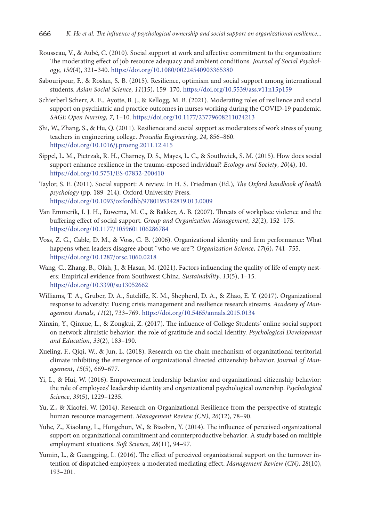- Rousseau, V., & Aubé, C. (2010). Social support at work and affective commitment to the organization: The moderating effect of job resource adequacy and ambient conditions. *Journal of Social Psychology*, *150*(4), 321–340. https://doi.org/10.1080/00224540903365380
- Sabouripour, F., & Roslan, S. B. (2015). Resilience, optimism and social support among international students. *Asian Social Science*, *11*(15), 159–170. https://doi.org/10.5539/ass.v11n15p159
- Schierberl Scherr, A. E., Ayotte, B. J., & Kellogg, M. B. (2021). Moderating roles of resilience and social support on psychiatric and practice outcomes in nurses working during the COVID-19 pandemic. *SAGE Open Nursing*, *7*, 1–10. https://doi.org/10.1177/23779608211024213
- Shi, W., Zhang, S., & Hu, Q. (2011). Resilience and social support as moderators of work stress of young teachers in engineering college. *Procedia Engineering*, *24*, 856–860. https://doi.org/10.1016/j.proeng.2011.12.415
- Sippel, L. M., Pietrzak, R. H., Charney, D. S., Mayes, L. C., & Southwick, S. M. (2015). How does social support enhance resilience in the trauma-exposed individual? *Ecology and Society*, *20*(4), 10. https://doi.org/10.5751/ES-07832-200410
- Taylor, S. E. (2011). Social support: A review. In H. S. Friedman (Ed.), *The Oxford handbook of health psychology* (pp. 189–214). Oxford University Press. https://doi.org/10.1093/oxfordhb/9780195342819.013.0009
- Van Emmerik, I. J. H., Euwema, M. C., & Bakker, A. B. (2007). Threats of workplace violence and the buffering effect of social support. *Group and Organization Management*, *32*(2), 152–175. https://doi.org/10.1177/1059601106286784
- Voss, Z. G., Cable, D. M., & Voss, G. B. (2006). Organizational identity and firm performance: What happens when leaders disagree about "who we are"? *Organization Science*, *17*(6), 741–755. https://doi.org/10.1287/orsc.1060.0218
- Wang, C., Zhang, B., Oláh, J., & Hasan, M. (2021). Factors influencing the quality of life of empty nesters: Empirical evidence from Southwest China. *Sustainability*, *13*(5), 1–15. https://doi.org/10.3390/su13052662
- Williams, T. A., Gruber, D. A., Sutcliffe, K. M., Shepherd, D. A., & Zhao, E. Y. (2017). Organizational response to adversity: Fusing crisis management and resilience research streams. *Academy of Management Annals*, *11*(2), 733–769. https://doi.org/10.5465/annals.2015.0134
- Xinxin, Y., Qinxue, L., & Zongkui, Z. (2017). The influence of College Students' online social support on network altruistic behavior: the role of gratitude and social identity. *Psychological Development and Education*, *33*(2), 183–190.
- Xueling, F., Qiqi, W., & Jun, L. (2018). Research on the chain mechanism of organizational territorial climate inhibiting the emergence of organizational directed citizenship behavior. *Journal of Management*, *15*(5), 669–677.
- Yi, L., & Hui, W. (2016). Empowerment leadership behavior and organizational citizenship behavior: the role of employees' leadership identity and organizational psychological ownership. *Psychological Science*, *39*(5), 1229–1235.
- Yu, Z., & Xiaofei, W. (2014). Research on Organizational Resilience from the perspective of strategic human resource management. *Management Review (CN)*, *26*(12), 78–90.
- Yuhe, Z., Xiaolang, L., Hongchun, W., & Biaobin, Y. (2014). The influence of perceived organizational support on organizational commitment and counterproductive behavior: A study based on multiple employment situations. *Soft Science*, *28*(11), 94–97.
- Yumin, L., & Guangping, L. (2016). The effect of perceived organizational support on the turnover intention of dispatched employees: a moderated mediating effect. *Management Review (CN)*, *28*(10), 193–201.